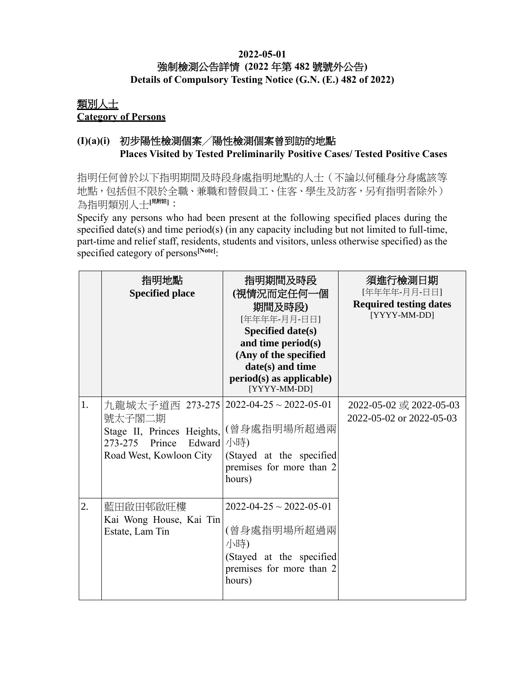#### **2022-05-01** 強制檢測公告詳情 **(2022** 年第 **482** 號號外公告**) Details of Compulsory Testing Notice (G.N. (E.) 482 of 2022)**

### 類別人士 **Category of Persons**

## **(I)(a)(i)** 初步陽性檢測個案╱陽性檢測個案曾到訪的地點 **Places Visited by Tested Preliminarily Positive Cases/ Tested Positive Cases**

指明任何曾於以下指明期間及時段身處指明地點的人士(不論以何種身分身處該等 地點,包括但不限於全職、兼職和替假員工、住客、學生及訪客,另有指明者除外) 為指明類別人士[<sup>見附註]</sup>:

Specify any persons who had been present at the following specified places during the specified date(s) and time period(s) (in any capacity including but not limited to full-time, part-time and relief staff, residents, students and visitors, unless otherwise specified) as the specified category of persons**[Note]**:

|    | 指明地點<br><b>Specified place</b>                                                                                                             | 指明期間及時段<br>(視情況而定任何一個<br>期間及時段)<br>[年年年年-月月-日日]<br>Specified date(s)<br>and time period(s)<br>(Any of the specified<br>date(s) and time<br>$period(s)$ as applicable)<br>[YYYY-MM-DD] | 須進行檢測日期<br>[年年年年-月月-日日]<br><b>Required testing dates</b><br>[YYYY-MM-DD] |
|----|--------------------------------------------------------------------------------------------------------------------------------------------|---------------------------------------------------------------------------------------------------------------------------------------------------------------------------------------|--------------------------------------------------------------------------|
| 1. | 九龍城太子道西 273-275   2022-04-25~2022-05-01<br>號太子閣二期<br>Stage II, Princes Heights,<br>Edward 小時)<br>273-275 Prince<br>Road West, Kowloon City | (曾身處指明場所超過兩<br>(Stayed at the specified<br>premises for more than 2<br>hours)                                                                                                         | 2022-05-02 或 2022-05-03<br>2022-05-02 or 2022-05-03                      |
| 2. | 藍田啟田邨啟旺樓<br>Kai Wong House, Kai Tin<br>Estate, Lam Tin                                                                                     | $2022 - 04 - 25 \sim 2022 - 05 - 01$<br>(曾身處指明場所超過兩<br>小時)<br>(Stayed at the specified<br>premises for more than 2<br>hours)                                                          |                                                                          |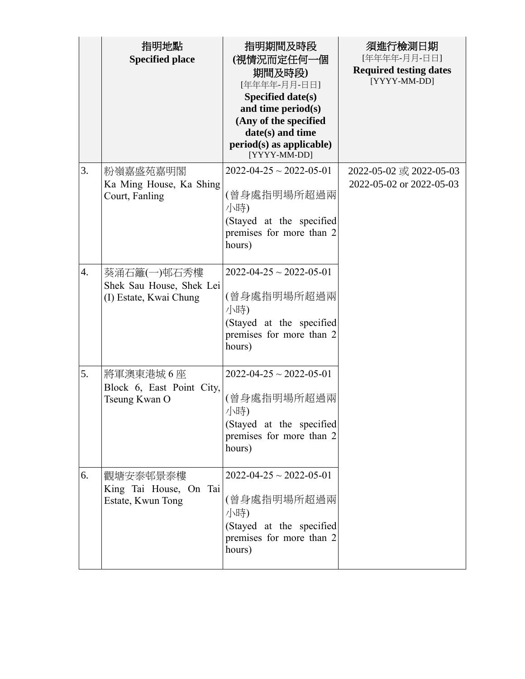|    | 指明地點<br><b>Specified place</b>                                    | 指明期間及時段<br>(視情況而定任何一個<br>期間及時段)<br>[年年年年-月月-日日]<br>Specified date(s)<br>and time period(s)<br>(Any of the specified<br>date(s) and time<br>period(s) as applicable)<br>[YYYY-MM-DD] | 須進行檢測日期<br>[年年年年-月月-日日]<br><b>Required testing dates</b><br>[YYYY-MM-DD] |
|----|-------------------------------------------------------------------|-------------------------------------------------------------------------------------------------------------------------------------------------------------------------------------|--------------------------------------------------------------------------|
| 3. | 粉嶺嘉盛苑嘉明閣<br>Ka Ming House, Ka Shing<br>Court, Fanling             | $2022 - 04 - 25 \sim 2022 - 05 - 01$<br>(曾身處指明場所超過兩<br>小時)<br>(Stayed at the specified<br>premises for more than 2<br>hours)                                                        | 2022-05-02 或 2022-05-03<br>2022-05-02 or 2022-05-03                      |
| 4. | 葵涌石籬(一)邨石秀樓<br>Shek Sau House, Shek Lei<br>(I) Estate, Kwai Chung | $2022 - 04 - 25 \sim 2022 - 05 - 01$<br>(曾身處指明場所超過兩<br>小時)<br>(Stayed at the specified<br>premises for more than 2<br>hours)                                                        |                                                                          |
| 5. | 將軍澳東港城6座<br>Block 6, East Point City,<br>Tseung Kwan O            | $2022 - 04 - 25 \sim 2022 - 05 - 01$<br>(曾身處指明場所超過兩<br>小時)<br>(Stayed at the specified<br>premises for more than 2<br>hours)                                                        |                                                                          |
| 6. | 觀塘安泰邨景泰樓<br>King Tai House, On Tai<br>Estate, Kwun Tong           | $2022 - 04 - 25 \sim 2022 - 05 - 01$<br>(曾身處指明場所超過兩<br>小時)<br>(Stayed at the specified<br>premises for more than 2<br>hours)                                                        |                                                                          |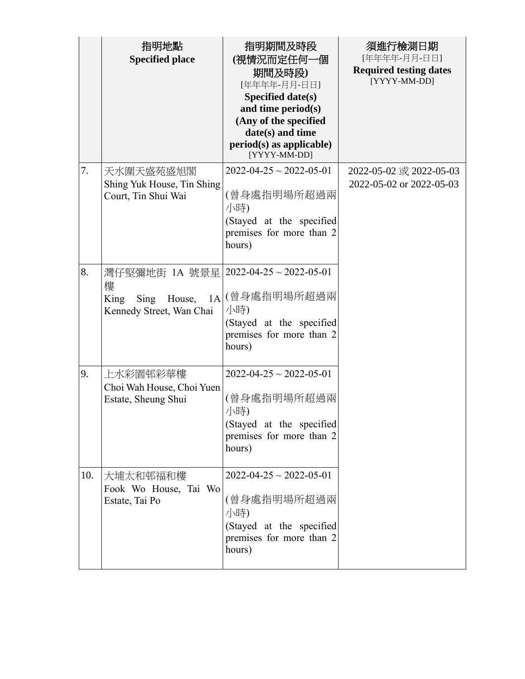|     | 指明地點<br><b>Specified place</b>                                                             | 指明期間及時段<br>(視情況而定任何一個<br>期間及時段)<br>[年年年年-月月-日日]<br>Specified date(s)<br>and time period(s)<br>(Any of the specified<br>date(s) and time<br>period(s) as applicable)<br>[YYYY-MM-DD] | 須進行檢測日期<br>[年年年年-月月-日日]<br><b>Required testing dates</b><br>[YYYY-MM-DD] |
|-----|--------------------------------------------------------------------------------------------|-------------------------------------------------------------------------------------------------------------------------------------------------------------------------------------|--------------------------------------------------------------------------|
| 7.  | 天水圍天盛苑盛旭閣<br>Shing Yuk House, Tin Shing<br>Court, Tin Shui Wai                             | $2022 - 04 - 25 \sim 2022 - 05 - 01$<br>(曾身處指明場所超過兩<br>小時)<br>(Stayed at the specified<br>premises for more than 2<br>hours)                                                        | 2022-05-02 或 2022-05-03<br>2022-05-02 or 2022-05-03                      |
| 8.  | 灣仔堅彌地街 1A 號景星   2022-04-25~2022-05-01<br>樓<br>King Sing House,<br>Kennedy Street, Wan Chai | 1A (曾身處指明場所超過兩<br>小時)<br>(Stayed at the specified<br>premises for more than 2<br>hours)                                                                                             |                                                                          |
| 9.  | 上水彩園邨彩華樓<br>Choi Wah House, Choi Yuen<br>Estate, Sheung Shui                               | $2022 - 04 - 25 \sim 2022 - 05 - 01$<br>(曾身處指明場所超過兩<br>小時)<br>(Stayed at the specified<br>premises for more than 2<br>hours)                                                        |                                                                          |
| 10. | 大埔太和邨福和樓<br>Fook Wo House, Tai Wo<br>Estate, Tai Po                                        | $2022 - 04 - 25 \sim 2022 - 05 - 01$<br>(曾身處指明場所超過兩<br>小時)<br>(Stayed at the specified<br>premises for more than 2<br>hours)                                                        |                                                                          |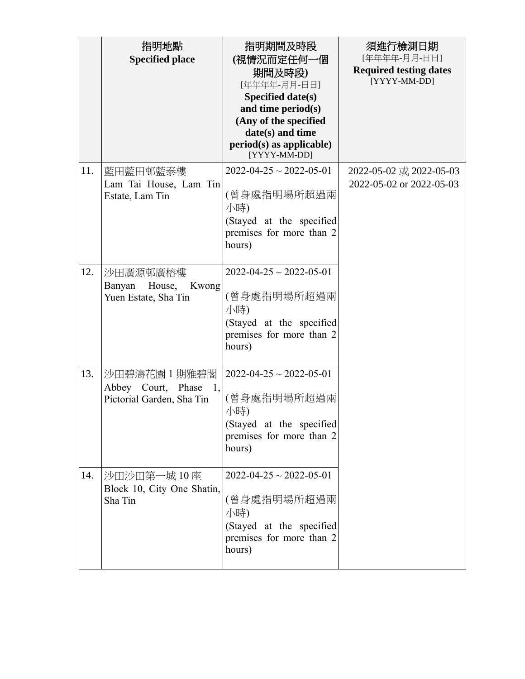|     | 指明地點<br><b>Specified place</b>                                         | 指明期間及時段<br>(視情況而定任何一個<br>期間及時段)<br>[年年年年-月月-日日]<br>Specified date(s)<br>and time period(s)<br>(Any of the specified<br>date(s) and time<br>$period(s)$ as applicable)<br>[YYYY-MM-DD] | 須進行檢測日期<br>[年年年年-月月-日日]<br><b>Required testing dates</b><br>[YYYY-MM-DD] |
|-----|------------------------------------------------------------------------|---------------------------------------------------------------------------------------------------------------------------------------------------------------------------------------|--------------------------------------------------------------------------|
| 11. | 藍田藍田邨藍泰樓<br>Lam Tai House, Lam Tin<br>Estate, Lam Tin                  | $2022 - 04 - 25 \sim 2022 - 05 - 01$<br>(曾身處指明場所超過兩<br>小時)<br>(Stayed at the specified<br>premises for more than 2<br>hours)                                                          | 2022-05-02 或 2022-05-03<br>2022-05-02 or 2022-05-03                      |
| 12. | 沙田廣源邨廣榕樓<br>Banyan<br>House,<br>Kwong<br>Yuen Estate, Sha Tin          | $2022 - 04 - 25 \sim 2022 - 05 - 01$<br>(曾身處指明場所超過兩<br>小時)<br>(Stayed at the specified<br>premises for more than 2<br>hours)                                                          |                                                                          |
| 13. | 沙田碧濤花園 1 期雅碧閣<br>Abbey Court, Phase<br>1,<br>Pictorial Garden, Sha Tin | $2022 - 04 - 25 \sim 2022 - 05 - 01$<br>(曾身處指明場所超過兩<br>小時)<br>(Stayed at the specified<br>premises for more than 2<br>hours)                                                          |                                                                          |
| 14. | 沙田沙田第一城 10座<br>Block 10, City One Shatin,<br>Sha Tin                   | $2022 - 04 - 25 \sim 2022 - 05 - 01$<br>(曾身處指明場所超過兩<br>小時)<br>(Stayed at the specified<br>premises for more than 2<br>hours)                                                          |                                                                          |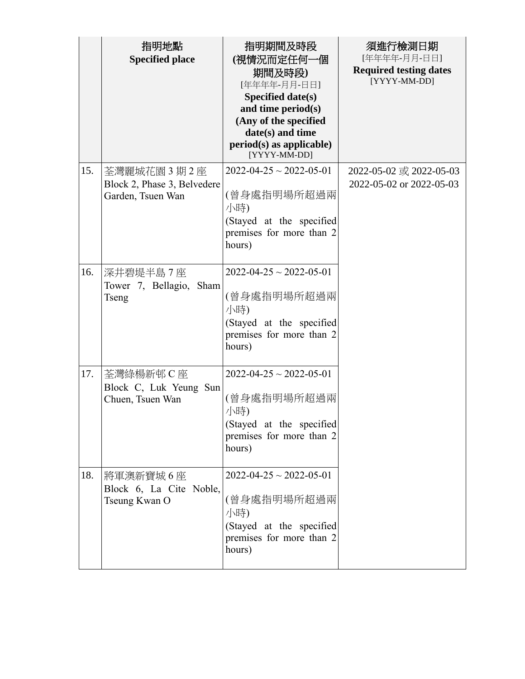|     | 指明地點<br><b>Specified place</b>                                     | 指明期間及時段<br>(視情況而定任何一個<br>期間及時段)<br>[年年年年-月月-日日]<br>Specified date(s)<br>and time period(s)<br>(Any of the specified<br>date(s) and time<br>$period(s)$ as applicable)<br>[YYYY-MM-DD] | 須進行檢測日期<br>[年年年年-月月-日日]<br><b>Required testing dates</b><br>[YYYY-MM-DD] |
|-----|--------------------------------------------------------------------|---------------------------------------------------------------------------------------------------------------------------------------------------------------------------------------|--------------------------------------------------------------------------|
| 15. | 荃灣麗城花園 3 期 2 座<br>Block 2, Phase 3, Belvedere<br>Garden, Tsuen Wan | $2022 - 04 - 25 \sim 2022 - 05 - 01$<br>(曾身處指明場所超過兩<br>小時)<br>(Stayed at the specified<br>premises for more than 2<br>hours)                                                          | 2022-05-02 或 2022-05-03<br>2022-05-02 or 2022-05-03                      |
| 16. | 深井碧堤半島 7 座<br>Tower 7, Bellagio,<br>Sham<br>Tseng                  | $2022 - 04 - 25 \sim 2022 - 05 - 01$<br>(曾身處指明場所超過兩<br>小時)<br>(Stayed at the specified<br>premises for more than 2<br>hours)                                                          |                                                                          |
| 17. | 荃灣綠楊新邨 C 座<br>Block C, Luk Yeung Sun<br>Chuen, Tsuen Wan           | $2022 - 04 - 25 \sim 2022 - 05 - 01$<br>(曾身處指明場所超過兩<br>小時)<br>(Stayed at the specified<br>premises for more than 2<br>hours)                                                          |                                                                          |
| 18. | 將軍澳新寶城6座<br>Block 6, La Cite Noble,<br>Tseung Kwan O               | $2022 - 04 - 25 \sim 2022 - 05 - 01$<br>(曾身處指明場所超過兩<br>小時)<br>(Stayed at the specified<br>premises for more than 2<br>hours)                                                          |                                                                          |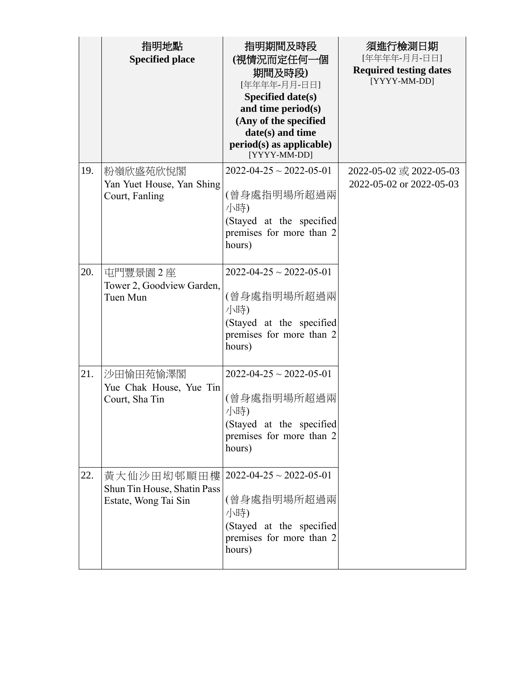|     | 指明地點<br><b>Specified place</b>                                     | 指明期間及時段<br>(視情況而定任何一個<br>期間及時段)<br>[年年年年-月月-日日]<br>Specified date(s)<br>and time period(s)<br>(Any of the specified<br>date(s) and time<br>$period(s)$ as applicable)<br>[YYYY-MM-DD] | 須進行檢測日期<br>[年年年年-月月-日日]<br><b>Required testing dates</b><br>[YYYY-MM-DD] |
|-----|--------------------------------------------------------------------|---------------------------------------------------------------------------------------------------------------------------------------------------------------------------------------|--------------------------------------------------------------------------|
| 19. | 粉嶺欣盛苑欣悅閣<br>Yan Yuet House, Yan Shing<br>Court, Fanling            | $2022 - 04 - 25 \sim 2022 - 05 - 01$<br>(曾身處指明場所超過兩<br>小時)<br>(Stayed at the specified<br>premises for more than 2<br>hours)                                                          | 2022-05-02 或 2022-05-03<br>2022-05-02 or 2022-05-03                      |
| 20. | 屯門豐景園2座<br>Tower 2, Goodview Garden,<br>Tuen Mun                   | $2022 - 04 - 25 \sim 2022 - 05 - 01$<br>(曾身處指明場所超過兩<br>小時)<br>(Stayed at the specified<br>premises for more than 2<br>hours)                                                          |                                                                          |
| 21. | 沙田愉田苑愉澤閣<br>Yue Chak House, Yue Tin<br>Court, Sha Tin              | $2022 - 04 - 25 \sim 2022 - 05 - 01$<br>(曾身處指明場所超過兩<br>小時)<br>(Stayed at the specified<br>premises for more than 2<br>hours)                                                          |                                                                          |
| 22. | 黃大仙沙田坳邨順田樓 <br>Shun Tin House, Shatin Pass<br>Estate, Wong Tai Sin | $2022 - 04 - 25 \sim 2022 - 05 - 01$<br>(曾身處指明場所超過兩<br>小時)<br>(Stayed at the specified<br>premises for more than 2<br>hours)                                                          |                                                                          |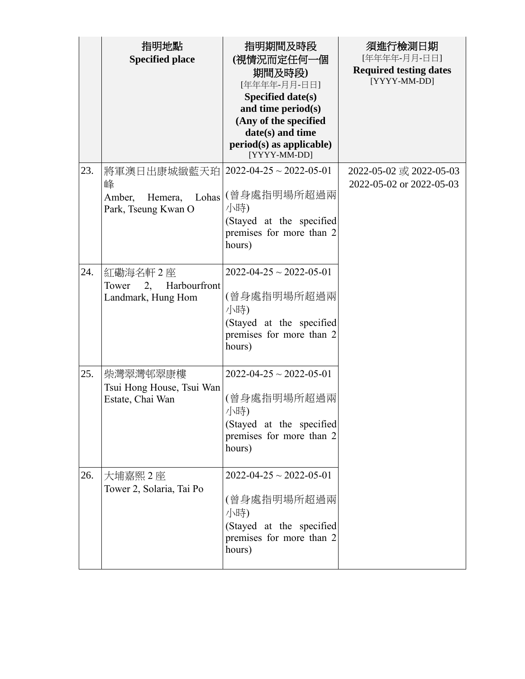|     | 指明地點                                              | 指明期間及時段                                              | 須進行檢測日期                                       |
|-----|---------------------------------------------------|------------------------------------------------------|-----------------------------------------------|
|     | <b>Specified place</b>                            | (視情況而定任何一個                                           | [年年年年-月月-日日]                                  |
|     |                                                   | 期間及時段)                                               | <b>Required testing dates</b><br>[YYYY-MM-DD] |
|     |                                                   | [年年年年-月月-日日]                                         |                                               |
|     |                                                   | Specified date(s)<br>and time period(s)              |                                               |
|     |                                                   | (Any of the specified                                |                                               |
|     |                                                   | date(s) and time                                     |                                               |
|     |                                                   | $period(s)$ as applicable)<br>[YYYY-MM-DD]           |                                               |
| 23. | 將軍澳日出康城緻藍天珀                                       | $2022 - 04 - 25 \sim 2022 - 05 - 01$                 | 2022-05-02 或 2022-05-03                       |
|     | 峰<br>Hemera,<br>Amber,<br>Park, Tseung Kwan O     | Lohas (曾身處指明場所超過兩<br>小時)                             | 2022-05-02 or 2022-05-03                      |
|     |                                                   | (Stayed at the specified<br>premises for more than 2 |                                               |
|     |                                                   | hours)                                               |                                               |
| 24. | 紅磡海名軒 2座                                          | $2022 - 04 - 25 \sim 2022 - 05 - 01$                 |                                               |
|     | Tower<br>2,<br>Harbourfront<br>Landmark, Hung Hom | (曾身處指明場所超過兩                                          |                                               |
|     |                                                   | 小時)                                                  |                                               |
|     |                                                   | (Stayed at the specified                             |                                               |
|     |                                                   | premises for more than 2<br>hours)                   |                                               |
|     |                                                   |                                                      |                                               |
| 25. | 柴灣翠灣邨翠康樓                                          | $2022 - 04 - 25 \sim 2022 - 05 - 01$                 |                                               |
|     | Tsui Hong House, Tsui Wan<br>Estate, Chai Wan     | (曾身處指明場所超過兩<br>小時)                                   |                                               |
|     |                                                   | (Stayed at the specified                             |                                               |
|     |                                                   | premises for more than 2<br>hours)                   |                                               |
|     |                                                   |                                                      |                                               |
| 26. | 大埔嘉熙 2 座                                          | $2022 - 04 - 25 \sim 2022 - 05 - 01$                 |                                               |
|     | Tower 2, Solaria, Tai Po                          | (曾身處指明場所超過兩<br>小時)                                   |                                               |
|     |                                                   | (Stayed at the specified                             |                                               |
|     |                                                   | premises for more than 2<br>hours)                   |                                               |
|     |                                                   |                                                      |                                               |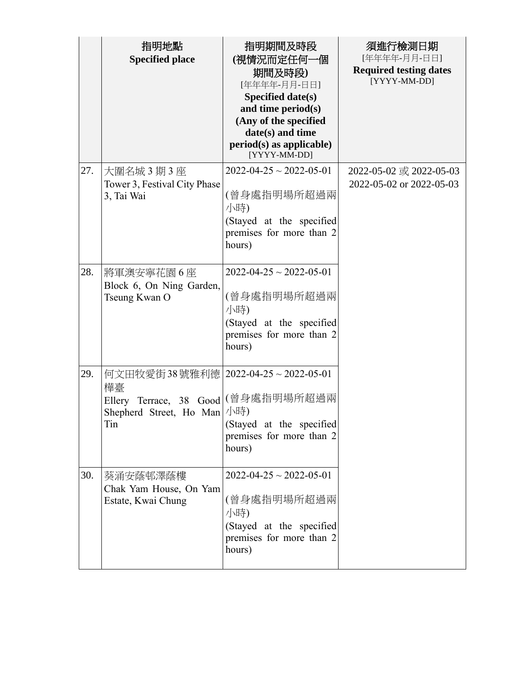|     | 指明地點<br><b>Specified place</b>                                                                                               | 指明期間及時段<br>(視情況而定任何一個<br>期間及時段)<br>[年年年年-月月-日日]<br>Specified date(s)<br>and time period(s)<br>(Any of the specified<br>date(s) and time<br>$period(s)$ as applicable)<br>[YYYY-MM-DD] | 須進行檢測日期<br>[年年年年-月月-日日]<br><b>Required testing dates</b><br>[YYYY-MM-DD] |
|-----|------------------------------------------------------------------------------------------------------------------------------|---------------------------------------------------------------------------------------------------------------------------------------------------------------------------------------|--------------------------------------------------------------------------|
| 27. | 大圍名城 3 期 3 座<br>Tower 3, Festival City Phase<br>3, Tai Wai                                                                   | $2022 - 04 - 25 \sim 2022 - 05 - 01$<br>(曾身處指明場所超過兩<br>小時)<br>(Stayed at the specified<br>premises for more than 2<br>hours)                                                          | 2022-05-02 或 2022-05-03<br>2022-05-02 or 2022-05-03                      |
| 28. | 將軍澳安寧花園6座<br>Block 6, On Ning Garden,<br>Tseung Kwan O                                                                       | $2022 - 04 - 25 \sim 2022 - 05 - 01$<br>(曾身處指明場所超過兩<br>小時)<br>(Stayed at the specified<br>premises for more than 2<br>hours)                                                          |                                                                          |
| 29. | 何文田牧愛街38號雅利德   2022-04-25~2022-05-01<br>樺臺<br>Ellery Terrace, 38 Good   (曾身處指明場所超過兩<br>Shepherd Street, Ho Man  / 小時)<br>Tin | (Stayed at the specified<br>premises for more than 2<br>hours)                                                                                                                        |                                                                          |
| 30. | 葵涌安蔭邨澤蔭樓<br>Chak Yam House, On Yam<br>Estate, Kwai Chung                                                                     | $2022 - 04 - 25 \sim 2022 - 05 - 01$<br>(曾身處指明場所超過兩<br>小時)<br>(Stayed at the specified<br>premises for more than 2<br>hours)                                                          |                                                                          |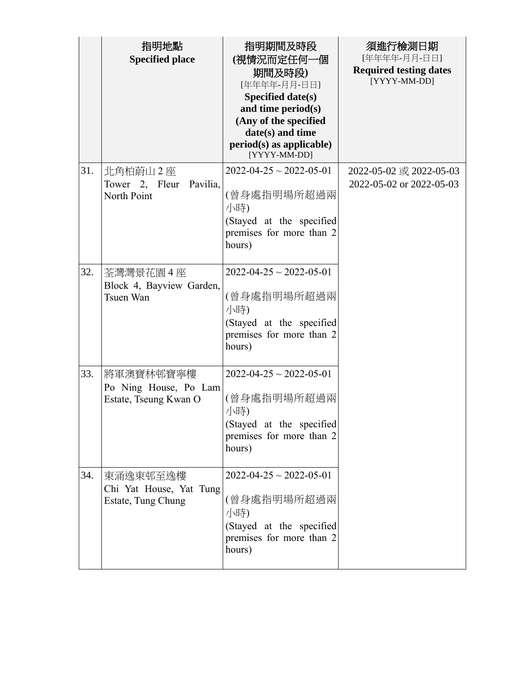|     | 指明地點<br><b>Specified place</b>                              | 指明期間及時段<br>(視情況而定任何一個<br>期間及時段)<br>[年年年年-月月-日日]<br>Specified date(s)<br>and time period(s)<br>(Any of the specified<br>date(s) and time<br>$period(s)$ as applicable)<br>[YYYY-MM-DD] | 須進行檢測日期<br>[年年年年-月月-日日]<br><b>Required testing dates</b><br>[YYYY-MM-DD] |
|-----|-------------------------------------------------------------|---------------------------------------------------------------------------------------------------------------------------------------------------------------------------------------|--------------------------------------------------------------------------|
| 31. | 北角柏蔚山 2座<br>Tower 2, Fleur<br>Pavilia,<br>North Point       | $2022 - 04 - 25 \sim 2022 - 05 - 01$<br>(曾身處指明場所超過兩<br>小時)<br>(Stayed at the specified<br>premises for more than 2<br>hours)                                                          | 2022-05-02 或 2022-05-03<br>2022-05-02 or 2022-05-03                      |
| 32. | 荃灣灣景花園 4 座<br>Block 4, Bayview Garden,<br>Tsuen Wan         | $2022 - 04 - 25 \sim 2022 - 05 - 01$<br>(曾身處指明場所超過兩<br>小時)<br>(Stayed at the specified<br>premises for more than 2<br>hours)                                                          |                                                                          |
| 33. | 將軍澳寶林邨寶寧樓<br>Po Ning House, Po Lam<br>Estate, Tseung Kwan O | $2022 - 04 - 25 \sim 2022 - 05 - 01$<br>(曾身處指明場所超過兩<br>小時)<br>(Stayed at the specified<br>premises for more than 2<br>hours)                                                          |                                                                          |
| 34. | 東涌逸東邨至逸樓<br>Chi Yat House, Yat Tung<br>Estate, Tung Chung   | $2022 - 04 - 25 \sim 2022 - 05 - 01$<br>(曾身處指明場所超過兩<br>小時)<br>(Stayed at the specified<br>premises for more than 2<br>hours)                                                          |                                                                          |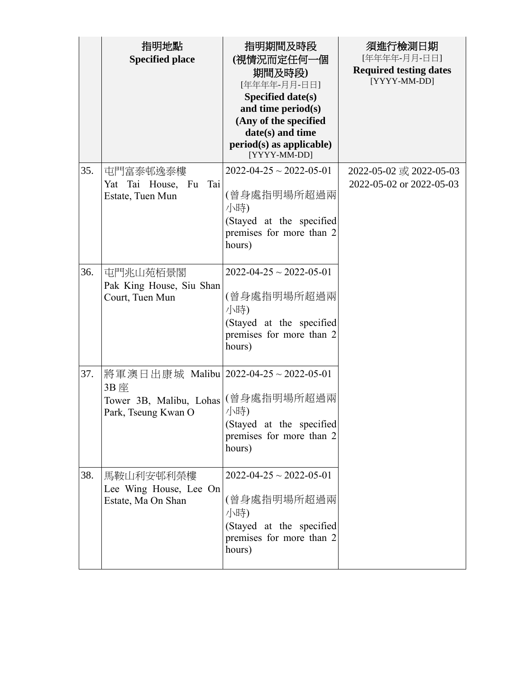|     | 指明地點<br><b>Specified place</b>                                                                               | 指明期間及時段<br>(視情況而定任何一個<br>期間及時段)<br>[年年年年-月月-日日]<br>Specified date(s)<br>and time period(s)<br>(Any of the specified<br>date(s) and time<br>$period(s)$ as applicable)<br>[YYYY-MM-DD] | 須進行檢測日期<br>[年年年年-月月-日日]<br><b>Required testing dates</b><br>[YYYY-MM-DD] |
|-----|--------------------------------------------------------------------------------------------------------------|---------------------------------------------------------------------------------------------------------------------------------------------------------------------------------------|--------------------------------------------------------------------------|
| 35. | 屯門富泰邨逸泰樓<br>Tai<br>Yat Tai House, Fu<br>Estate, Tuen Mun                                                     | $2022 - 04 - 25 \sim 2022 - 05 - 01$<br>(曾身處指明場所超過兩<br>小時)<br>(Stayed at the specified<br>premises for more than 2<br>hours)                                                          | 2022-05-02 或 2022-05-03<br>2022-05-02 or 2022-05-03                      |
| 36. | 屯門兆山苑栢景閣<br>Pak King House, Siu Shan<br>Court, Tuen Mun                                                      | $2022 - 04 - 25 \sim 2022 - 05 - 01$<br>(曾身處指明場所超過兩<br>小時)<br>(Stayed at the specified<br>premises for more than 2<br>hours)                                                          |                                                                          |
| 37. | 將軍澳日出康城 Malibu   2022-04-25~2022-05-01<br>3B 座<br>Tower 3B, Malibu, Lohas (曾身處指明場所超過兩<br>Park, Tseung Kwan O | 小時)<br>(Stayed at the specified<br>premises for more than 2<br>hours)                                                                                                                 |                                                                          |
| 38. | 馬鞍山利安邨利榮樓<br>Lee Wing House, Lee On<br>Estate, Ma On Shan                                                    | $2022 - 04 - 25 \sim 2022 - 05 - 01$<br>(曾身處指明場所超過兩<br>小時)<br>(Stayed at the specified<br>premises for more than 2<br>hours)                                                          |                                                                          |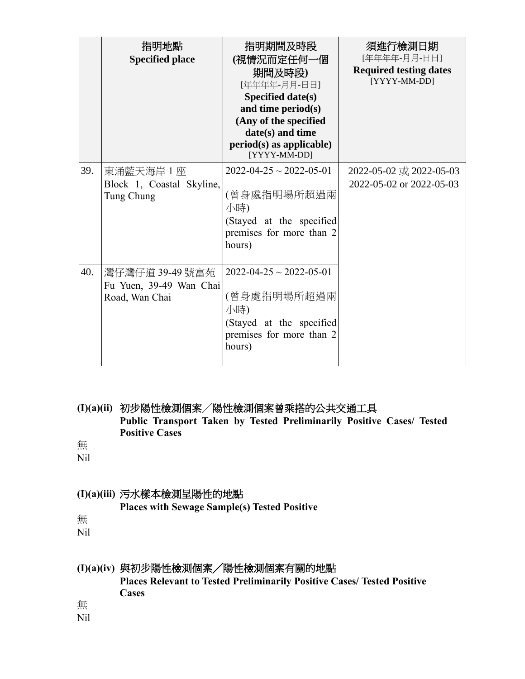|     | 指明地點<br><b>Specified place</b>                               | 指明期間及時段<br>(視情況而定任何一個<br>期間及時段)<br>[年年年年-月月-日日]<br>Specified date(s)<br>and time period(s)<br>(Any of the specified<br>date(s) and time<br>$period(s)$ as applicable)<br>[YYYY-MM-DD] | 須進行檢測日期<br>[年年年年-月月-日日]<br><b>Required testing dates</b><br>[YYYY-MM-DD] |
|-----|--------------------------------------------------------------|---------------------------------------------------------------------------------------------------------------------------------------------------------------------------------------|--------------------------------------------------------------------------|
| 39. | 東涌藍天海岸1座<br>Block 1, Coastal Skyline,<br>Tung Chung          | $2022 - 04 - 25 \sim 2022 - 05 - 01$<br>(曾身處指明場所超過兩<br>小時)<br>(Stayed at the specified<br>premises for more than 2<br>hours)                                                          | 2022-05-02 或 2022-05-03<br>2022-05-02 or 2022-05-03                      |
| 40. | 灣仔灣仔道 39-49 號富苑<br>Fu Yuen, 39-49 Wan Chai<br>Road, Wan Chai | $2022 - 04 - 25 \sim 2022 - 05 - 01$<br>(曾身處指明場所超過兩<br>小時)<br>(Stayed at the specified<br>premises for more than 2<br>hours)                                                          |                                                                          |

**(I)(a)(ii)** 初步陽性檢測個案╱陽性檢測個案曾乘搭的公共交通工具 **Public Transport Taken by Tested Preliminarily Positive Cases/ Tested Positive Cases**

無

Nil

#### **(I)(a)(iii)** 污水樣本檢測呈陽性的地點

**Places with Sewage Sample(s) Tested Positive**

無

Nil

# **(I)(a)(iv)** 與初步陽性檢測個案╱陽性檢測個案有關的地點

**Places Relevant to Tested Preliminarily Positive Cases/ Tested Positive Cases** 

無

Nil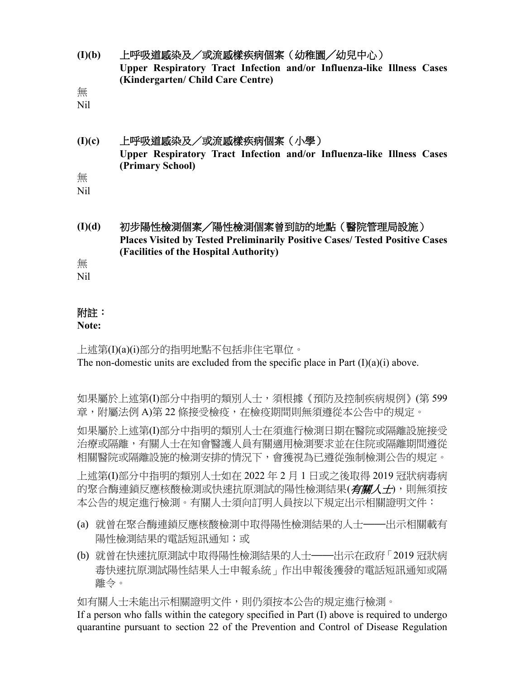- **(I)(b)** 上呼吸道感染及/或流感樣疾病個案(幼稚園╱幼兒中心) **Upper Respiratory Tract Infection and/or Influenza-like Illness Cases (Kindergarten/ Child Care Centre)** 無
- Nil
- **(I)(c)** 上呼吸道感染及/或流感樣疾病個案(小學) **Upper Respiratory Tract Infection and/or Influenza-like Illness Cases (Primary School)**

無 Nil

**(I)(d)** 初步陽性檢測個案╱陽性檢測個案曾到訪的地點(醫院管理局設施) **Places Visited by Tested Preliminarily Positive Cases/ Tested Positive Cases (Facilities of the Hospital Authority)**

無

Nil

## 附註:

**Note:**

上述第(I)(a)(i)部分的指明地點不包括非住宅單位。 The non-domestic units are excluded from the specific place in Part  $(I)(a)(i)$  above.

如果屬於上述第(I)部分中指明的類別人士,須根據《預防及控制疾病規例》(第 599 章,附屬法例 A)第 22 條接受檢疫,在檢疫期間則無須遵從本公告中的規定。

如果屬於上述第(I)部分中指明的類別人士在須進行檢測日期在醫院或隔離設施接受 治療或隔離,有關人士在知會醫護人員有關適用檢測要求並在住院或隔離期間遵從 相關醫院或隔離設施的檢測安排的情況下,會獲視為已遵從強制檢測公告的規定。

上述第(I)部分中指明的類別人士如在 2022 年 2 月 1 日或之後取得 2019 冠狀病毒病 的聚合酶連鎖反應核酸檢測或快速抗原測試的陽性檢測結果(有關人士),則無須按 本公告的規定進行檢測。有關人士須向訂明人員按以下規定出示相關證明文件:

- (a) 就曾在聚合酶連鎖反應核酸檢測中取得陽性檢測結果的人士——出示相關載有 陽性檢測結果的電話短訊通知;或
- (b) 就曾在快速抗原測試中取得陽性檢測結果的人士——出示在政府「2019 冠狀病 毒快速抗原測試陽性結果人士申報系統」作出申報後獲發的電話短訊通知或隔 離令。

如有關人士未能出示相關證明文件,則仍須按本公告的規定進行檢測。 If a person who falls within the category specified in Part (I) above is required to undergo quarantine pursuant to section 22 of the Prevention and Control of Disease Regulation